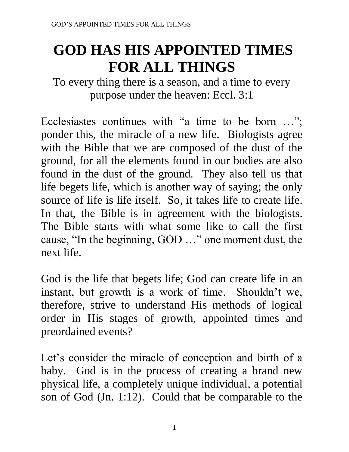# **GOD HAS HIS APPOINTED TIMES FOR ALL THINGS**

To every thing there is a season, and a time to every purpose under the heaven: Eccl. 3:1

Ecclesiastes continues with "a time to be born …"; ponder this, the miracle of a new life. Biologists agree with the Bible that we are composed of the dust of the ground, for all the elements found in our bodies are also found in the dust of the ground. They also tell us that life begets life, which is another way of saying; the only source of life is life itself. So, it takes life to create life. In that, the Bible is in agreement with the biologists. The Bible starts with what some like to call the first cause, "In the beginning, GOD …" one moment dust, the next life.

God is the life that begets life; God can create life in an instant, but growth is a work of time. Shouldn't we, therefore, strive to understand His methods of logical order in His stages of growth, appointed times and preordained events?

Let's consider the miracle of conception and birth of a baby. God is in the process of creating a brand new physical life, a completely unique individual, a potential son of God (Jn. 1:12). Could that be comparable to the

1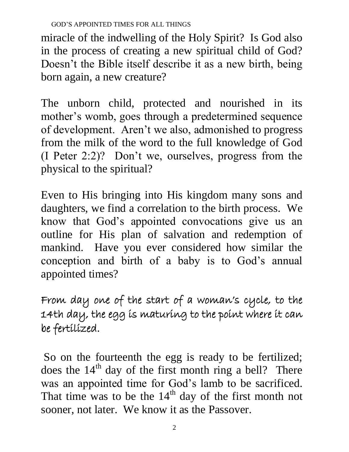miracle of the indwelling of the Holy Spirit? Is God also in the process of creating a new spiritual child of God? Doesn't the Bible itself describe it as a new birth, being born again, a new creature?

The unborn child, protected and nourished in its mother's womb, goes through a predetermined sequence of development. Aren't we also, admonished to progress from the milk of the word to the full knowledge of God (I Peter 2:2)? Don't we, ourselves, progress from the physical to the spiritual?

Even to His bringing into His kingdom many sons and daughters, we find a correlation to the birth process. We know that God's appointed convocations give us an outline for His plan of salvation and redemption of mankind. Have you ever considered how similar the conception and birth of a baby is to God's annual appointed times?

From day one of the start of a woman's cycle, to the 14th day, the egg is maturing to the point where it can be fertilized.

So on the fourteenth the egg is ready to be fertilized; does the  $14<sup>th</sup>$  day of the first month ring a bell? There was an appointed time for God's lamb to be sacrificed. That time was to be the  $14<sup>th</sup>$  day of the first month not sooner, not later. We know it as the Passover.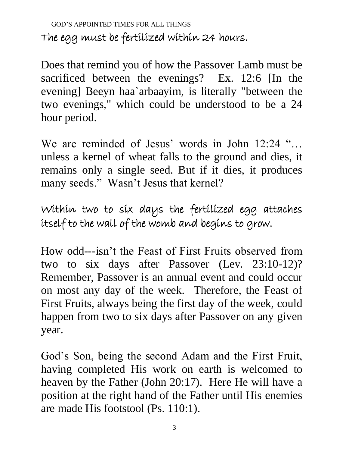GOD'S APPOINTED TIMES FOR ALL THINGS The egg must be fertilized within 24 hours.

Does that remind you of how the Passover Lamb must be sacrificed between the evenings? Ex. 12:6 [In the evening] Beeyn haa`arbaayim, is literally "between the two evenings," which could be understood to be a 24 hour period.

We are reminded of Jesus' words in John 12:24 "... unless a kernel of wheat falls to the ground and dies, it remains only a single seed. But if it dies, it produces many seeds." Wasn't Jesus that kernel?

Within two to six days the fertilized egg attaches itself to the wall of the womb and begins to grow.

How odd---isn't the Feast of First Fruits observed from two to six days after Passover (Lev. 23:10-12)? Remember, Passover is an annual event and could occur on most any day of the week. Therefore, the Feast of First Fruits, always being the first day of the week, could happen from two to six days after Passover on any given year.

God's Son, being the second Adam and the First Fruit, having completed His work on earth is welcomed to heaven by the Father (John 20:17). Here He will have a position at the right hand of the Father until His enemies are made His footstool (Ps. 110:1).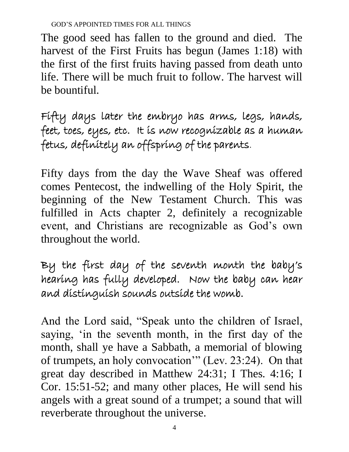The good seed has fallen to the ground and died. The harvest of the First Fruits has begun (James 1:18) with the first of the first fruits having passed from death unto life. There will be much fruit to follow. The harvest will be bountiful.

Fifty days later the embryo has arms, legs, hands, feet, toes, eyes, etc. It is now recognizable as a human fetus, definitely an offspring of the parents.

Fifty days from the day the Wave Sheaf was offered comes Pentecost, the indwelling of the Holy Spirit, the beginning of the New Testament Church. This was fulfilled in Acts chapter 2, definitely a recognizable event, and Christians are recognizable as God's own throughout the world.

By the first day of the seventh month the baby's hearing has fully developed. Now the baby can hear and distinguish sounds outside the womb.

And the Lord said, "Speak unto the children of Israel, saying, 'in the seventh month, in the first day of the month, shall ye have a Sabbath, a memorial of blowing of trumpets, an holy convocation'" (Lev. 23:24). On that great day described in Matthew 24:31; I Thes. 4:16; I Cor. 15:51-52; and many other places, He will send his angels with a great sound of a trumpet; a sound that will reverberate throughout the universe.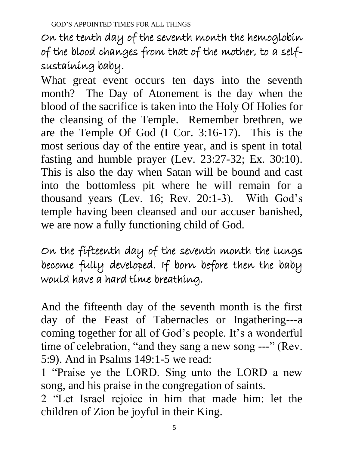On the tenth day of the seventh month the hemoglobin of the blood changes from that of the mother, to a selfsustaining baby.

What great event occurs ten days into the seventh month? The Day of Atonement is the day when the blood of the sacrifice is taken into the Holy Of Holies for the cleansing of the Temple. Remember brethren, we are the Temple Of God (I Cor. 3:16-17). This is the most serious day of the entire year, and is spent in total fasting and humble prayer (Lev. 23:27-32; Ex. 30:10). This is also the day when Satan will be bound and cast into the bottomless pit where he will remain for a thousand years (Lev. 16; Rev. 20:1-3). With God's temple having been cleansed and our accuser banished, we are now a fully functioning child of God.

On the fifteenth day of the seventh month the lungs become fully developed. If born before then the baby would have a hard time breathing.

And the fifteenth day of the seventh month is the first day of the Feast of Tabernacles or Ingathering---a coming together for all of God's people. It's a wonderful time of celebration, "and they sang a new song ---" (Rev. 5:9). And in Psalms 149:1-5 we read:

1 "Praise ye the LORD. Sing unto the LORD a new song, and his praise in the congregation of saints.

2 "Let Israel rejoice in him that made him: let the children of Zion be joyful in their King.

5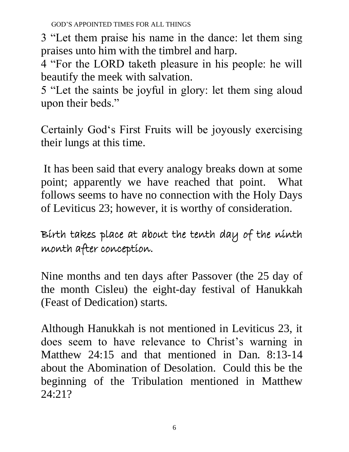3 "Let them praise his name in the dance: let them sing praises unto him with the timbrel and harp.

4 "For the LORD taketh pleasure in his people: he will beautify the meek with salvation.

5 "Let the saints be joyful in glory: let them sing aloud upon their beds."

Certainly God's First Fruits will be joyously exercising their lungs at this time.

It has been said that every analogy breaks down at some point; apparently we have reached that point. What follows seems to have no connection with the Holy Days of Leviticus 23; however, it is worthy of consideration.

Birth takes place at about the tenth day of the ninth month after conception.

Nine months and ten days after Passover (the 25 day of the month Cisleu) the eight-day festival of Hanukkah (Feast of Dedication) starts.

Although Hanukkah is not mentioned in Leviticus 23, it does seem to have relevance to Christ's warning in Matthew 24:15 and that mentioned in Dan. 8:13-14 about the Abomination of Desolation. Could this be the beginning of the Tribulation mentioned in Matthew 24:21?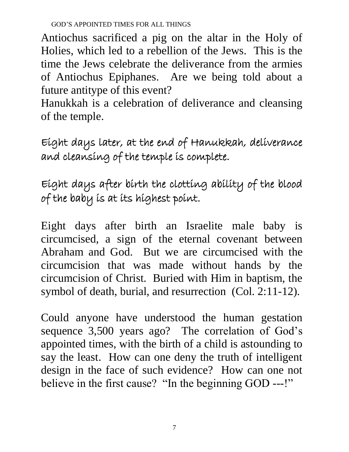Antiochus sacrificed a pig on the altar in the Holy of Holies, which led to a rebellion of the Jews. This is the time the Jews celebrate the deliverance from the armies of Antiochus Epiphanes. Are we being told about a future antitype of this event?

Hanukkah is a celebration of deliverance and cleansing of the temple.

Eight days later, at the end of Hanukkah, deliverance and cleansing of the temple is complete.

Eight days after birth the clotting ability of the blood of the baby is at its highest point.

Eight days after birth an Israelite male baby is circumcised, a sign of the eternal covenant between Abraham and God. But we are circumcised with the circumcision that was made without hands by the circumcision of Christ. Buried with Him in baptism, the symbol of death, burial, and resurrection (Col. 2:11-12).

Could anyone have understood the human gestation sequence 3,500 years ago? The correlation of God's appointed times, with the birth of a child is astounding to say the least. How can one deny the truth of intelligent design in the face of such evidence? How can one not believe in the first cause? "In the beginning GOD ---!"

7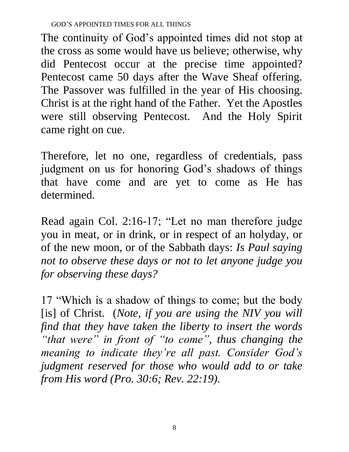The continuity of God's appointed times did not stop at the cross as some would have us believe; otherwise, why did Pentecost occur at the precise time appointed? Pentecost came 50 days after the Wave Sheaf offering. The Passover was fulfilled in the year of His choosing. Christ is at the right hand of the Father. Yet the Apostles were still observing Pentecost. And the Holy Spirit came right on cue.

Therefore, let no one, regardless of credentials, pass judgment on us for honoring God's shadows of things that have come and are yet to come as He has determined.

Read again Col. 2:16-17; "Let no man therefore judge you in meat, or in drink, or in respect of an holyday, or of the new moon, or of the Sabbath days: *Is Paul saying not to observe these days or not to let anyone judge you for observing these days?*

17 "Which is a shadow of things to come; but the body [is] of Christ. (*Note, if you are using the NIV you will find that they have taken the liberty to insert the words "that were" in front of "to come", thus changing the meaning to indicate they're all past. Consider God's judgment reserved for those who would add to or take from His word (Pro. 30:6; Rev. 22:19).*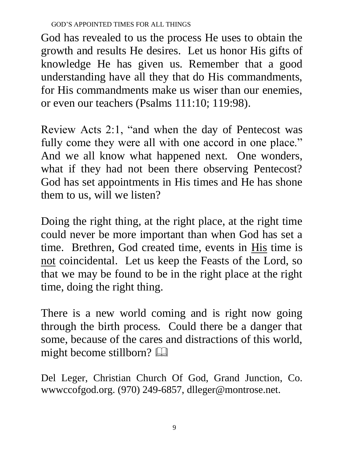God has revealed to us the process He uses to obtain the growth and results He desires. Let us honor His gifts of knowledge He has given us. Remember that a good understanding have all they that do His commandments, for His commandments make us wiser than our enemies, or even our teachers (Psalms 111:10; 119:98).

Review Acts 2:1, "and when the day of Pentecost was fully come they were all with one accord in one place." And we all know what happened next. One wonders, what if they had not been there observing Pentecost? God has set appointments in His times and He has shone them to us, will we listen?

Doing the right thing, at the right place, at the right time could never be more important than when God has set a time. Brethren, God created time, events in His time is not coincidental. Let us keep the Feasts of the Lord, so that we may be found to be in the right place at the right time, doing the right thing.

There is a new world coming and is right now going through the birth process. Could there be a danger that some, because of the cares and distractions of this world, might become stillborn?

Del Leger, Christian Church Of God, Grand Junction, Co. wwwccofgod.org. (970) 249-6857, dlleger@montrose.net.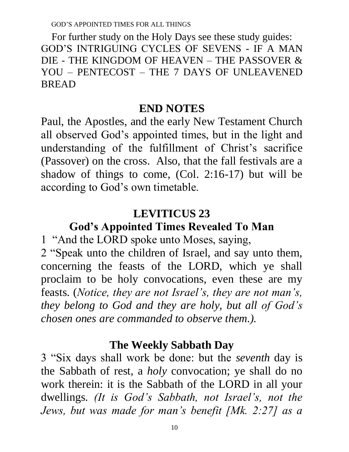For further study on the Holy Days see these study guides: GOD'S INTRIGUING CYCLES OF SEVENS - IF A MAN DIE - THE KINGDOM OF HEAVEN – THE PASSOVER & YOU – PENTECOST – THE 7 DAYS OF UNLEAVENED BREAD

#### **END NOTES**

Paul, the Apostles, and the early New Testament Church all observed God's appointed times, but in the light and understanding of the fulfillment of Christ's sacrifice (Passover) on the cross. Also, that the fall festivals are a shadow of things to come, (Col. 2:16-17) but will be according to God's own timetable.

#### **LEVITICUS 23**

**God's Appointed Times Revealed To Man**

1 "And the LORD spoke unto Moses, saying,

2 "Speak unto the children of Israel, and say unto them, concerning the feasts of the LORD, which ye shall proclaim to be holy convocations, even these are my feasts. (*Notice, they are not Israel's, they are not man's, they belong to God and they are holy, but all of God's chosen ones are commanded to observe them.).*

#### **The Weekly Sabbath Day**

3 "Six days shall work be done: but the *seventh* day is the Sabbath of rest, a *holy* convocation; ye shall do no work therein: it is the Sabbath of the LORD in all your dwellings. *(It is God's Sabbath, not Israel's, not the Jews, but was made for man's benefit [Mk. 2:27] as a*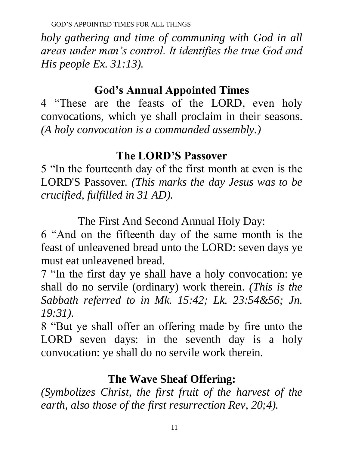*holy gathering and time of communing with God in all areas under man's control. It identifies the true God and His people Ex. 31:13).* 

### **God's Annual Appointed Times**

4 "These are the feasts of the LORD, even holy convocations, which ye shall proclaim in their seasons. *(A holy convocation is a commanded assembly.)*

### **The LORD'S Passover**

5 "In the fourteenth day of the first month at even is the LORD'S Passover. *(This marks the day Jesus was to be crucified, fulfilled in 31 AD).* 

The First And Second Annual Holy Day:

6 "And on the fifteenth day of the same month is the feast of unleavened bread unto the LORD: seven days ye must eat unleavened bread.

7 "In the first day ye shall have a holy convocation: ye shall do no servile (ordinary) work therein. *(This is the Sabbath referred to in Mk. 15:42; Lk. 23:54&56; Jn. 19:31).*

8 "But ye shall offer an offering made by fire unto the LORD seven days: in the seventh day is a holy convocation: ye shall do no servile work therein.

### **The Wave Sheaf Offering:**

*(Symbolizes Christ, the first fruit of the harvest of the earth, also those of the first resurrection Rev, 20;4).*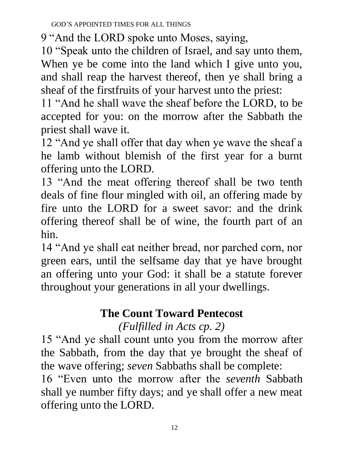9 "And the LORD spoke unto Moses, saying,

10 "Speak unto the children of Israel, and say unto them, When ye be come into the land which I give unto you, and shall reap the harvest thereof, then ye shall bring a sheaf of the firstfruits of your harvest unto the priest:

11 "And he shall wave the sheaf before the LORD, to be accepted for you: on the morrow after the Sabbath the priest shall wave it.

12 "And ye shall offer that day when ye wave the sheaf a he lamb without blemish of the first year for a burnt offering unto the LORD.

13 "And the meat offering thereof shall be two tenth deals of fine flour mingled with oil, an offering made by fire unto the LORD for a sweet savor: and the drink offering thereof shall be of wine, the fourth part of an hin.

14 "And ye shall eat neither bread, nor parched corn, nor green ears, until the selfsame day that ye have brought an offering unto your God: it shall be a statute forever throughout your generations in all your dwellings.

# **The Count Toward Pentecost**

## *(Fulfilled in Acts cp. 2)*

15 "And ye shall count unto you from the morrow after the Sabbath, from the day that ye brought the sheaf of the wave offering; *seven* Sabbaths shall be complete:

16 "Even unto the morrow after the *seventh* Sabbath shall ye number fifty days; and ye shall offer a new meat offering unto the LORD.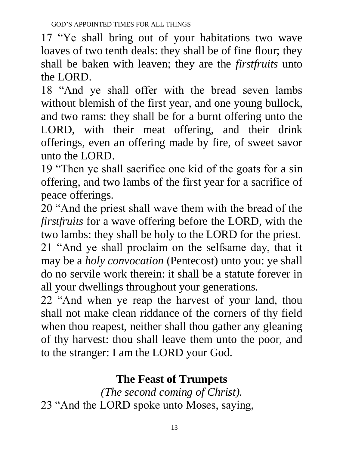17 "Ye shall bring out of your habitations two wave loaves of two tenth deals: they shall be of fine flour; they shall be baken with leaven; they are the *firstfruits* unto the LORD.

18 "And ye shall offer with the bread seven lambs without blemish of the first year, and one young bullock, and two rams: they shall be for a burnt offering unto the LORD, with their meat offering, and their drink offerings, even an offering made by fire, of sweet savor unto the LORD.

19 "Then ye shall sacrifice one kid of the goats for a sin offering, and two lambs of the first year for a sacrifice of peace offerings.

20 "And the priest shall wave them with the bread of the *firstfruits* for a wave offering before the LORD, with the two lambs: they shall be holy to the LORD for the priest. 21 "And ye shall proclaim on the selfsame day, that it may be a *holy convocation* (Pentecost) unto you: ye shall do no servile work therein: it shall be a statute forever in all your dwellings throughout your generations.

22 "And when ye reap the harvest of your land, thou shall not make clean riddance of the corners of thy field when thou reapest, neither shall thou gather any gleaning of thy harvest: thou shall leave them unto the poor, and to the stranger: I am the LORD your God.

# **The Feast of Trumpets**

*(The second coming of Christ).* 23 "And the LORD spoke unto Moses, saying,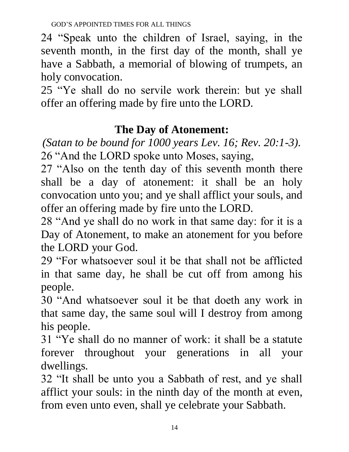24 "Speak unto the children of Israel, saying, in the seventh month, in the first day of the month, shall ye have a Sabbath, a memorial of blowing of trumpets, an holy convocation.

25 "Ye shall do no servile work therein: but ye shall offer an offering made by fire unto the LORD.

# **The Day of Atonement:**

*(Satan to be bound for 1000 years Lev. 16; Rev. 20:1-3).* 26 "And the LORD spoke unto Moses, saying,

27 "Also on the tenth day of this seventh month there shall be a day of atonement: it shall be an holy convocation unto you; and ye shall afflict your souls, and offer an offering made by fire unto the LORD.

28 "And ye shall do no work in that same day: for it is a Day of Atonement, to make an atonement for you before the LORD your God.

29 "For whatsoever soul it be that shall not be afflicted in that same day, he shall be cut off from among his people.

30 "And whatsoever soul it be that doeth any work in that same day, the same soul will I destroy from among his people.

31 "Ye shall do no manner of work: it shall be a statute forever throughout your generations in all your dwellings.

32 "It shall be unto you a Sabbath of rest, and ye shall afflict your souls: in the ninth day of the month at even, from even unto even, shall ye celebrate your Sabbath.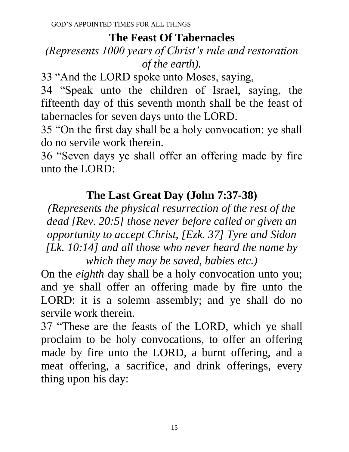### **The Feast Of Tabernacles**

### *(Represents 1000 years of Christ's rule and restoration of the earth).*

33 "And the LORD spoke unto Moses, saying,

34 "Speak unto the children of Israel, saying, the fifteenth day of this seventh month shall be the feast of tabernacles for seven days unto the LORD.

35 "On the first day shall be a holy convocation: ye shall do no servile work therein.

36 "Seven days ye shall offer an offering made by fire unto the LORD:

# **The Last Great Day (John 7:37-38)**

*(Represents the physical resurrection of the rest of the dead [Rev. 20:5] those never before called or given an opportunity to accept Christ, [Ezk. 37] Tyre and Sidon [Lk. 10:14] and all those who never heard the name by which they may be saved, babies etc.)*

On the *eighth* day shall be a holy convocation unto you; and ye shall offer an offering made by fire unto the LORD: it is a solemn assembly; and ye shall do no servile work therein.

37 "These are the feasts of the LORD, which ye shall proclaim to be holy convocations, to offer an offering made by fire unto the LORD, a burnt offering, and a meat offering, a sacrifice, and drink offerings, every thing upon his day: